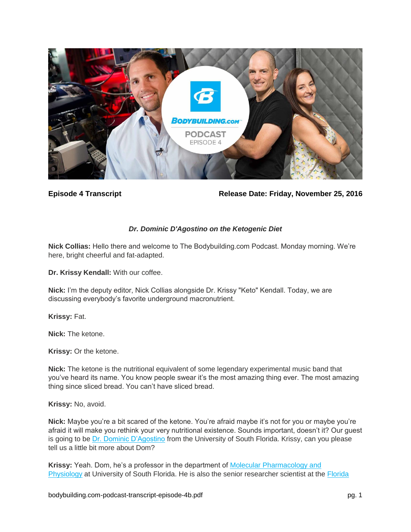

**Episode 4 Transcript Release Date: Friday, November 25, 2016**

# *Dr. Dominic D'Agostino on the Ketogenic Diet*

**Nick Collias:** Hello there and welcome to The Bodybuilding.com Podcast. Monday morning. We're here, bright cheerful and fat-adapted.

**Dr. Krissy Kendall:** With our coffee.

**Nick:** I'm the deputy editor, Nick Collias alongside Dr. Krissy "Keto" Kendall. Today, we are discussing everybody's favorite underground macronutrient.

**Krissy:** Fat.

**Nick:** The ketone.

**Krissy:** Or the ketone.

**Nick:** The ketone is the nutritional equivalent of some legendary experimental music band that you've heard its name. You know people swear it's the most amazing thing ever. The most amazing thing since sliced bread. You can't have sliced bread.

**Krissy:** No, avoid.

**Nick:** Maybe you're a bit scared of the ketone. You're afraid maybe it's not for you or maybe you're afraid it will make you rethink your very nutritional existence. Sounds important, doesn't it? Our guest is going to be [Dr. Dominic D'Agostino](http://www.dominicdagostino.com/) from the University of South Florida. Krissy, can you please tell us a little bit more about Dom?

**Krissy:** Yeah. Dom, he's a professor in the department of [Molecular Pharmacology and](http://health.usf.edu/medicine/mpp/)  [Physiology](http://health.usf.edu/medicine/mpp/) at University of South Florida. He is also the senior researcher scientist at the [Florida](https://www.ihmc.us/groups/ddagostino/)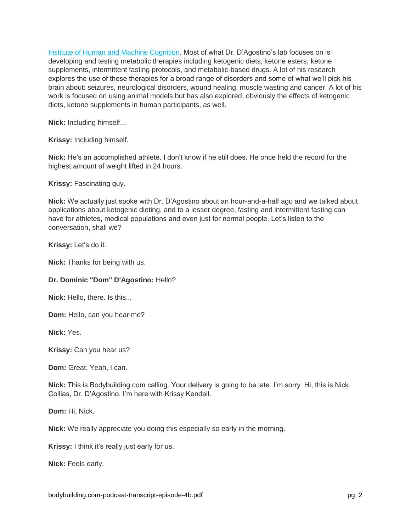[Institute of Human and Machine Cognition.](https://www.ihmc.us/groups/ddagostino/) Most of what Dr. D'Agostino's lab focuses on is developing and testing metabolic therapies including ketogenic diets, ketone esters, ketone supplements, intermittent fasting protocols, and metabolic-based drugs. A lot of his research explores the use of these therapies for a broad range of disorders and some of what we'll pick his brain about: seizures, neurological disorders, wound healing, muscle wasting and cancer. A lot of his work is focused on using animal models but has also explored, obviously the effects of ketogenic diets, ketone supplements in human participants, as well.

**Nick:** Including himself...

**Krissy:** Including himself.

**Nick:** He's an accomplished athlete. I don't know if he still does. He once held the record for the highest amount of weight lifted in 24 hours.

**Krissy:** Fascinating guy.

**Nick:** We actually just spoke with Dr. D'Agostino about an hour-and-a-half ago and we talked about applications about ketogenic dieting, and to a lesser degree, fasting and intermittent fasting can have for athletes, medical populations and even just for normal people. Let's listen to the conversation, shall we?

**Krissy:** Let's do it.

**Nick:** Thanks for being with us.

#### **Dr. Dominic "Dom" D'Agostino:** Hello?

**Nick:** Hello, there. Is this...

**Dom:** Hello, can you hear me?

**Nick:** Yes.

**Krissy:** Can you hear us?

**Dom:** Great. Yeah, I can.

**Nick:** This is Bodybuilding.com calling. Your delivery is going to be late. I'm sorry. Hi, this is Nick Collias, Dr. D'Agostino. I'm here with Krissy Kendall.

**Dom:** Hi, Nick.

**Nick:** We really appreciate you doing this especially so early in the morning.

**Krissy:** I think it's really just early for us.

**Nick:** Feels early.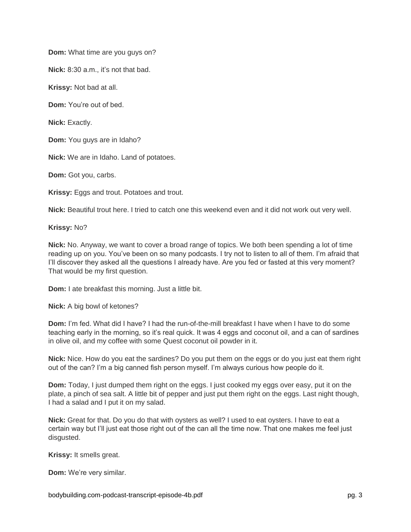**Dom:** What time are you guys on?

**Nick:** 8:30 a.m., it's not that bad.

**Krissy:** Not bad at all.

**Dom:** You're out of bed.

**Nick:** Exactly.

**Dom:** You guys are in Idaho?

**Nick:** We are in Idaho. Land of potatoes.

**Dom:** Got you, carbs.

**Krissy:** Eggs and trout. Potatoes and trout.

**Nick:** Beautiful trout here. I tried to catch one this weekend even and it did not work out very well.

**Krissy:** No?

**Nick:** No. Anyway, we want to cover a broad range of topics. We both been spending a lot of time reading up on you. You've been on so many podcasts. I try not to listen to all of them. I'm afraid that I'll discover they asked all the questions I already have. Are you fed or fasted at this very moment? That would be my first question.

**Dom:** I ate breakfast this morning. Just a little bit.

**Nick:** A big bowl of ketones?

**Dom:** I'm fed. What did I have? I had the run-of-the-mill breakfast I have when I have to do some teaching early in the morning, so it's real quick. It was 4 eggs and coconut oil, and a can of sardines in olive oil, and my coffee with some Quest coconut oil powder in it.

**Nick:** Nice. How do you eat the sardines? Do you put them on the eggs or do you just eat them right out of the can? I'm a big canned fish person myself. I'm always curious how people do it.

**Dom:** Today, I just dumped them right on the eggs. I just cooked my eggs over easy, put it on the plate, a pinch of sea salt. A little bit of pepper and just put them right on the eggs. Last night though, I had a salad and I put it on my salad.

**Nick:** Great for that. Do you do that with oysters as well? I used to eat oysters. I have to eat a certain way but I'll just eat those right out of the can all the time now. That one makes me feel just disgusted.

**Krissy:** It smells great.

**Dom:** We're very similar.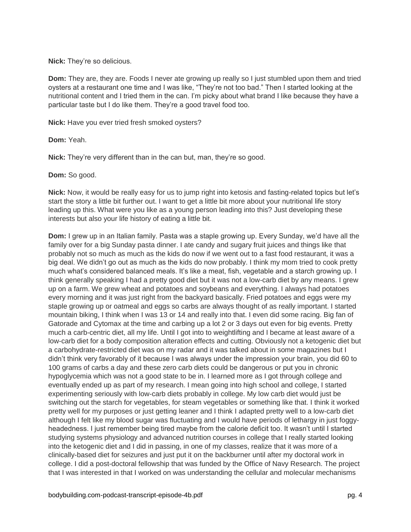**Nick:** They're so delicious.

**Dom:** They are, they are. Foods I never ate growing up really so I just stumbled upon them and tried oysters at a restaurant one time and I was like, "They're not too bad." Then I started looking at the nutritional content and I tried them in the can. I'm picky about what brand I like because they have a particular taste but I do like them. They're a good travel food too.

**Nick:** Have you ever tried fresh smoked oysters?

**Dom:** Yeah.

**Nick:** They're very different than in the can but, man, they're so good.

**Dom:** So good.

**Nick:** Now, it would be really easy for us to jump right into ketosis and fasting-related topics but let's start the story a little bit further out. I want to get a little bit more about your nutritional life story leading up this. What were you like as a young person leading into this? Just developing these interests but also your life history of eating a little bit.

**Dom:** I grew up in an Italian family. Pasta was a staple growing up. Every Sunday, we'd have all the family over for a big Sunday pasta dinner. I ate candy and sugary fruit juices and things like that probably not so much as much as the kids do now if we went out to a fast food restaurant, it was a big deal. We didn't go out as much as the kids do now probably. I think my mom tried to cook pretty much what's considered balanced meals. It's like a meat, fish, vegetable and a starch growing up. I think generally speaking I had a pretty good diet but it was not a low-carb diet by any means. I grew up on a farm. We grew wheat and potatoes and soybeans and everything. I always had potatoes every morning and it was just right from the backyard basically. Fried potatoes and eggs were my staple growing up or oatmeal and eggs so carbs are always thought of as really important. I started mountain biking, I think when I was 13 or 14 and really into that. I even did some racing. Big fan of Gatorade and Cytomax at the time and carbing up a lot 2 or 3 days out even for big events. Pretty much a carb-centric diet, all my life. Until I got into to weightlifting and I became at least aware of a low-carb diet for a body composition alteration effects and cutting. Obviously not a ketogenic diet but a carbohydrate-restricted diet was on my radar and it was talked about in some magazines but I didn't think very favorably of it because I was always under the impression your brain, you did 60 to 100 grams of carbs a day and these zero carb diets could be dangerous or put you in chronic hypoglycemia which was not a good state to be in. I learned more as I got through college and eventually ended up as part of my research. I mean going into high school and college, I started experimenting seriously with low-carb diets probably in college. My low carb diet would just be switching out the starch for vegetables, for steam vegetables or something like that. I think it worked pretty well for my purposes or just getting leaner and I think I adapted pretty well to a low-carb diet although I felt like my blood sugar was fluctuating and I would have periods of lethargy in just foggyheadedness. I just remember being tired maybe from the calorie deficit too. It wasn't until I started studying systems physiology and advanced nutrition courses in college that I really started looking into the ketogenic diet and I did in passing, in one of my classes, realize that it was more of a clinically-based diet for seizures and just put it on the backburner until after my doctoral work in college. I did a post-doctoral fellowship that was funded by the Office of Navy Research. The project that I was interested in that I worked on was understanding the cellular and molecular mechanisms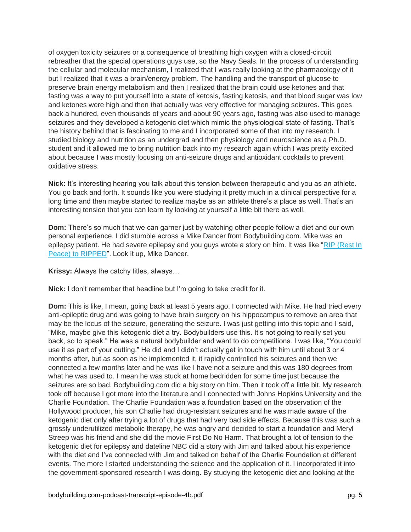of oxygen toxicity seizures or a consequence of breathing high oxygen with a closed-circuit rebreather that the special operations guys use, so the Navy Seals. In the process of understanding the cellular and molecular mechanism, I realized that I was really looking at the pharmacology of it but I realized that it was a brain/energy problem. The handling and the transport of glucose to preserve brain energy metabolism and then I realized that the brain could use ketones and that fasting was a way to put yourself into a state of ketosis, fasting ketosis, and that blood sugar was low and ketones were high and then that actually was very effective for managing seizures. This goes back a hundred, even thousands of years and about 90 years ago, fasting was also used to manage seizures and they developed a ketogenic diet which mimic the physiological state of fasting. That's the history behind that is fascinating to me and I incorporated some of that into my research. I studied biology and nutrition as an undergrad and then physiology and neuroscience as a Ph.D. student and it allowed me to bring nutrition back into my research again which I was pretty excited about because I was mostly focusing on anti-seizure drugs and antioxidant cocktails to prevent oxidative stress.

**Nick:** It's interesting hearing you talk about this tension between therapeutic and you as an athlete. You go back and forth. It sounds like you were studying it pretty much in a clinical perspective for a long time and then maybe started to realize maybe as an athlete there's a place as well. That's an interesting tension that you can learn by looking at yourself a little bit there as well.

**Dom:** There's so much that we can garner just by watching other people follow a diet and our own personal experience. I did stumble across a Mike Dancer from Bodybuilding.com. Mike was an epilepsy patient. He had severe epilepsy and you guys wrote a story on him. It was like ["RIP \(Rest In](http://www.bodybuilding.com/fun/from-nearly-rip-to-ripped-how-mike-got-a-second-chance.html)  [Peace\) to RIPPED"](http://www.bodybuilding.com/fun/from-nearly-rip-to-ripped-how-mike-got-a-second-chance.html). Look it up, Mike Dancer.

**Krissy:** Always the catchy titles, always…

**Nick:** I don't remember that headline but I'm going to take credit for it.

**Dom:** This is like, I mean, going back at least 5 years ago. I connected with Mike. He had tried every anti-epileptic drug and was going to have brain surgery on his hippocampus to remove an area that may be the locus of the seizure, generating the seizure. I was just getting into this topic and I said, "Mike, maybe give this ketogenic diet a try. Bodybuilders use this. It's not going to really set you back, so to speak." He was a natural bodybuilder and want to do competitions. I was like, "You could use it as part of your cutting." He did and I didn't actually get in touch with him until about 3 or 4 months after, but as soon as he implemented it, it rapidly controlled his seizures and then we connected a few months later and he was like I have not a seizure and this was 180 degrees from what he was used to. I mean he was stuck at home bedridden for some time just because the seizures are so bad. Bodybuilding.com did a big story on him. Then it took off a little bit. My research took off because I got more into the literature and I connected with Johns Hopkins University and the Charlie Foundation. The Charlie Foundation was a foundation based on the observation of the Hollywood producer, his son Charlie had drug-resistant seizures and he was made aware of the ketogenic diet only after trying a lot of drugs that had very bad side effects. Because this was such a grossly underutilized metabolic therapy, he was angry and decided to start a foundation and Meryl Streep was his friend and she did the movie First Do No Harm. That brought a lot of tension to the ketogenic diet for epilepsy and dateline NBC did a story with Jim and talked about his experience with the diet and I've connected with Jim and talked on behalf of the Charlie Foundation at different events. The more I started understanding the science and the application of it. I incorporated it into the government-sponsored research I was doing. By studying the ketogenic diet and looking at the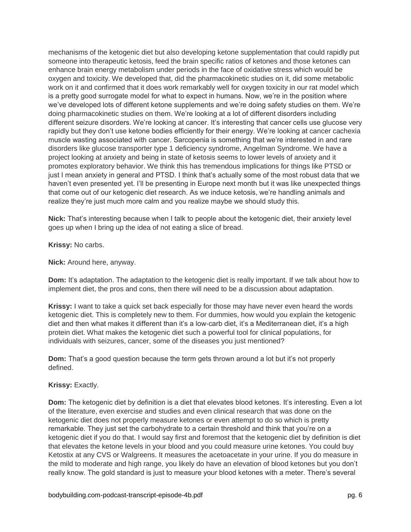mechanisms of the ketogenic diet but also developing ketone supplementation that could rapidly put someone into therapeutic ketosis, feed the brain specific ratios of ketones and those ketones can enhance brain energy metabolism under periods in the face of oxidative stress which would be oxygen and toxicity. We developed that, did the pharmacokinetic studies on it, did some metabolic work on it and confirmed that it does work remarkably well for oxygen toxicity in our rat model which is a pretty good surrogate model for what to expect in humans. Now, we're in the position where we've developed lots of different ketone supplements and we're doing safety studies on them. We're doing pharmacokinetic studies on them. We're looking at a lot of different disorders including different seizure disorders. We're looking at cancer. It's interesting that cancer cells use glucose very rapidly but they don't use ketone bodies efficiently for their energy. We're looking at cancer cachexia muscle wasting associated with cancer. Sarcopenia is something that we're interested in and rare disorders like glucose transporter type 1 deficiency syndrome, Angelman Syndrome. We have a project looking at anxiety and being in state of ketosis seems to lower levels of anxiety and it promotes exploratory behavior. We think this has tremendous implications for things like PTSD or just I mean anxiety in general and PTSD. I think that's actually some of the most robust data that we haven't even presented yet. I'll be presenting in Europe next month but it was like unexpected things that come out of our ketogenic diet research. As we induce ketosis, we're handling animals and realize they're just much more calm and you realize maybe we should study this.

**Nick:** That's interesting because when I talk to people about the ketogenic diet, their anxiety level goes up when I bring up the idea of not eating a slice of bread.

**Krissy:** No carbs.

**Nick:** Around here, anyway.

**Dom:** It's adaptation. The adaptation to the ketogenic diet is really important. If we talk about how to implement diet, the pros and cons, then there will need to be a discussion about adaptation.

**Krissy:** I want to take a quick set back especially for those may have never even heard the words ketogenic diet. This is completely new to them. For dummies, how would you explain the ketogenic diet and then what makes it different than it's a low-carb diet, it's a Mediterranean diet, it's a high protein diet. What makes the ketogenic diet such a powerful tool for clinical populations, for individuals with seizures, cancer, some of the diseases you just mentioned?

**Dom:** That's a good question because the term gets thrown around a lot but it's not properly defined.

# **Krissy:** Exactly.

**Dom:** The ketogenic diet by definition is a diet that elevates blood ketones. It's interesting. Even a lot of the literature, even exercise and studies and even clinical research that was done on the ketogenic diet does not properly measure ketones or even attempt to do so which is pretty remarkable. They just set the carbohydrate to a certain threshold and think that you're on a ketogenic diet if you do that. I would say first and foremost that the ketogenic diet by definition is diet that elevates the ketone levels in your blood and you could measure urine ketones. You could buy Ketostix at any CVS or Walgreens. It measures the acetoacetate in your urine. If you do measure in the mild to moderate and high range, you likely do have an elevation of blood ketones but you don't really know. The gold standard is just to measure your blood ketones with a meter. There's several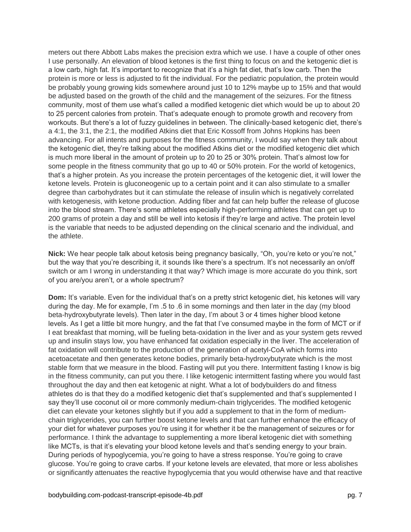meters out there Abbott Labs makes the precision extra which we use. I have a couple of other ones I use personally. An elevation of blood ketones is the first thing to focus on and the ketogenic diet is a low carb, high fat. It's important to recognize that it's a high fat diet, that's low carb. Then the protein is more or less is adjusted to fit the individual. For the pediatric population, the protein would be probably young growing kids somewhere around just 10 to 12% maybe up to 15% and that would be adjusted based on the growth of the child and the management of the seizures. For the fitness community, most of them use what's called a modified ketogenic diet which would be up to about 20 to 25 percent calories from protein. That's adequate enough to promote growth and recovery from workouts. But there's a lot of fuzzy guidelines in between. The clinically-based ketogenic diet, there's a 4:1, the 3:1, the 2:1, the modified Atkins diet that Eric Kossoff from Johns Hopkins has been advancing. For all intents and purposes for the fitness community, I would say when they talk about the ketogenic diet, they're talking about the modified Atkins diet or the modified ketogenic diet which is much more liberal in the amount of protein up to 20 to 25 or 30% protein. That's almost low for some people in the fitness community that go up to 40 or 50% protein. For the world of ketogenics, that's a higher protein. As you increase the protein percentages of the ketogenic diet, it will lower the ketone levels. Protein is gluconeogenic up to a certain point and it can also stimulate to a smaller degree than carbohydrates but it can stimulate the release of insulin which is negatively correlated with ketogenesis, with ketone production. Adding fiber and fat can help buffer the release of glucose into the blood stream. There's some athletes especially high-performing athletes that can get up to 200 grams of protein a day and still be well into ketosis if they're large and active. The protein level is the variable that needs to be adjusted depending on the clinical scenario and the individual, and the athlete.

**Nick:** We hear people talk about ketosis being pregnancy basically, "Oh, you're keto or you're not," but the way that you're describing it, it sounds like there's a spectrum. It's not necessarily an on/off switch or am I wrong in understanding it that way? Which image is more accurate do you think, sort of you are/you aren't, or a whole spectrum?

**Dom:** It's variable. Even for the individual that's on a pretty strict ketogenic diet, his ketones will vary during the day. Me for example, I'm .5 to .6 in some mornings and then later in the day (my blood beta-hydroxybutyrate levels). Then later in the day, I'm about 3 or 4 times higher blood ketone levels. As I get a little bit more hungry, and the fat that I've consumed maybe in the form of MCT or if I eat breakfast that morning, will be fueling beta-oxidation in the liver and as your system gets revved up and insulin stays low, you have enhanced fat oxidation especially in the liver. The acceleration of fat oxidation will contribute to the production of the generation of acetyl-CoA which forms into acetoacetate and then generates ketone bodies, primarily beta-hydroxybutyrate which is the most stable form that we measure in the blood. Fasting will put you there. Intermittent fasting I know is big in the fitness community, can put you there. I like ketogenic intermittent fasting where you would fast throughout the day and then eat ketogenic at night. What a lot of bodybuilders do and fitness athletes do is that they do a modified ketogenic diet that's supplemented and that's supplemented I say they'll use coconut oil or more commonly medium-chain triglycerides. The modified ketogenic diet can elevate your ketones slightly but if you add a supplement to that in the form of mediumchain triglycerides, you can further boost ketone levels and that can further enhance the efficacy of your diet for whatever purposes you're using it for whether it be the management of seizures or for performance. I think the advantage to supplementing a more liberal ketogenic diet with something like MCTs, is that it's elevating your blood ketone levels and that's sending energy to your brain. During periods of hypoglycemia, you're going to have a stress response. You're going to crave glucose. You're going to crave carbs. If your ketone levels are elevated, that more or less abolishes or significantly attenuates the reactive hypoglycemia that you would otherwise have and that reactive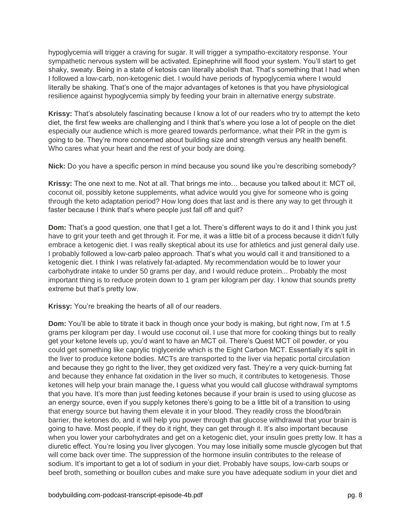hypoglycemia will trigger a craving for sugar. It will trigger a sympatho-excitatory response. Your sympathetic nervous system will be activated. Epinephrine will flood your system. You'll start to get shaky, sweaty. Being in a state of ketosis can literally abolish that. That's something that I had when I followed a low-carb, non-ketogenic diet. I would have periods of hypoglycemia where I would literally be shaking. That's one of the major advantages of ketones is that you have physiological resilience against hypoglycemia simply by feeding your brain in alternative energy substrate.

**Krissy:** That's absolutely fascinating because I know a lot of our readers who try to attempt the keto diet, the first few weeks are challenging and I think that's where you lose a lot of people on the diet especially our audience which is more geared towards performance, what their PR in the gym is going to be. They're more concerned about building size and strength versus any health benefit. Who cares what your heart and the rest of your body are doing.

**Nick:** Do you have a specific person in mind because you sound like you're describing somebody?

**Krissy:** The one next to me. Not at all. That brings me into… because you talked about it: MCT oil, coconut oil, possibly ketone supplements, what advice would you give for someone who is going through the keto adaptation period? How long does that last and is there any way to get through it faster because I think that's where people just fall off and quit?

**Dom:** That's a good question, one that I get a lot. There's different ways to do it and I think you just have to grit your teeth and get through it. For me, it was a little bit of a process because it didn't fully embrace a ketogenic diet. I was really skeptical about its use for athletics and just general daily use. I probably followed a low-carb paleo approach. That's what you would call it and transitioned to a ketogenic diet. I think I was relatively fat-adapted. My recommendation would be to lower your carbohydrate intake to under 50 grams per day, and I would reduce protein... Probably the most important thing is to reduce protein down to 1 gram per kilogram per day. I know that sounds pretty extreme but that's pretty low.

**Krissy:** You're breaking the hearts of all of our readers.

**Dom:** You'll be able to titrate it back in though once your body is making, but right now, I'm at 1.5 grams per kilogram per day. I would use coconut oil. I use that more for cooking things but to really get your ketone levels up, you'd want to have an MCT oil. There's Quest MCT oil powder, or you could get something like caprylic triglyceride which is the Eight Carbon MCT. Essentially it's split in the liver to produce ketone bodies. MCTs are transported to the liver via hepatic portal circulation and because they go right to the liver, they get oxidized very fast. They're a very quick-burning fat and because they enhance fat oxidation in the liver so much, it contributes to ketogenesis. Those ketones will help your brain manage the, I guess what you would call glucose withdrawal symptoms that you have. It's more than just feeding ketones because if your brain is used to using glucose as an energy source, even if you supply ketones there's going to be a little bit of a transition to using that energy source but having them elevate it in your blood. They readily cross the blood/brain barrier, the ketones do, and it will help you power through that glucose withdrawal that your brain is going to have. Most people, if they do it right, they can get through it. It's also important because when you lower your carbohydrates and get on a ketogenic diet, your insulin goes pretty low. It has a diuretic effect. You're losing you liver glycogen. You may lose initially some muscle glycogen but that will come back over time. The suppression of the hormone insulin contributes to the release of sodium. It's important to get a lot of sodium in your diet. Probably have soups, low-carb soups or beef broth, something or bouillon cubes and make sure you have adequate sodium in your diet and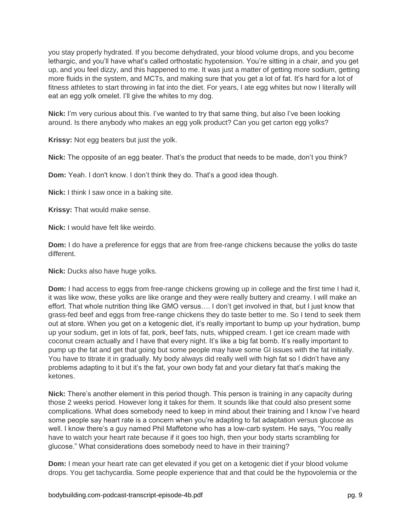you stay properly hydrated. If you become dehydrated, your blood volume drops, and you become lethargic, and you'll have what's called orthostatic hypotension. You're sitting in a chair, and you get up, and you feel dizzy, and this happened to me. It was just a matter of getting more sodium, getting more fluids in the system, and MCTs, and making sure that you get a lot of fat. It's hard for a lot of fitness athletes to start throwing in fat into the diet. For years, I ate egg whites but now I literally will eat an egg yolk omelet. I'll give the whites to my dog.

**Nick:** I'm very curious about this. I've wanted to try that same thing, but also I've been looking around. Is there anybody who makes an egg yolk product? Can you get carton egg yolks?

**Krissy:** Not egg beaters but just the yolk.

**Nick:** The opposite of an egg beater. That's the product that needs to be made, don't you think?

**Dom:** Yeah. I don't know. I don't think they do. That's a good idea though.

**Nick:** I think I saw once in a baking site.

**Krissy:** That would make sense.

**Nick:** I would have felt like weirdo.

**Dom:** I do have a preference for eggs that are from free-range chickens because the yolks do taste different.

**Nick:** Ducks also have huge yolks.

**Dom:** I had access to eggs from free-range chickens growing up in college and the first time I had it, it was like wow, these yolks are like orange and they were really buttery and creamy. I will make an effort. That whole nutrition thing like GMO versus…. I don't get involved in that, but I just know that grass-fed beef and eggs from free-range chickens they do taste better to me. So I tend to seek them out at store. When you get on a ketogenic diet, it's really important to bump up your hydration, bump up your sodium, get in lots of fat, pork, beef fats, nuts, whipped cream. I get ice cream made with coconut cream actually and I have that every night. It's like a big fat bomb. It's really important to pump up the fat and get that going but some people may have some GI issues with the fat initially. You have to titrate it in gradually. My body always did really well with high fat so I didn't have any problems adapting to it but it's the fat, your own body fat and your dietary fat that's making the ketones.

**Nick:** There's another element in this period though. This person is training in any capacity during those 2 weeks period. However long it takes for them. It sounds like that could also present some complications. What does somebody need to keep in mind about their training and I know I've heard some people say heart rate is a concern when you're adapting to fat adaptation versus glucose as well. I know there's a guy named Phil Maffetone who has a low-carb system. He says, "You really have to watch your heart rate because if it goes too high, then your body starts scrambling for glucose." What considerations does somebody need to have in their training?

**Dom:** I mean your heart rate can get elevated if you get on a ketogenic diet if your blood volume drops. You get tachycardia. Some people experience that and that could be the hypovolemia or the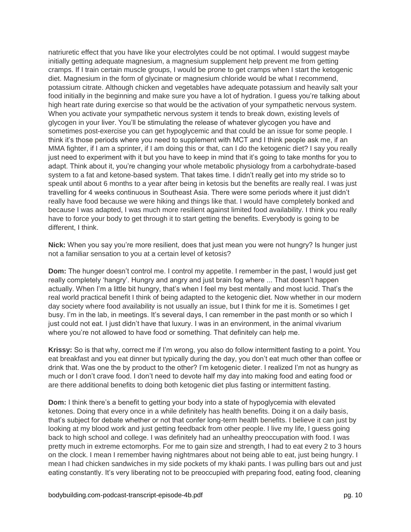natriuretic effect that you have like your electrolytes could be not optimal. I would suggest maybe initially getting adequate magnesium, a magnesium supplement help prevent me from getting cramps. If I train certain muscle groups, I would be prone to get cramps when I start the ketogenic diet. Magnesium in the form of glycinate or magnesium chloride would be what I recommend, potassium citrate. Although chicken and vegetables have adequate potassium and heavily salt your food initially in the beginning and make sure you have a lot of hydration. I guess you're talking about high heart rate during exercise so that would be the activation of your sympathetic nervous system. When you activate your sympathetic nervous system it tends to break down, existing levels of glycogen in your liver. You'll be stimulating the release of whatever glycogen you have and sometimes post-exercise you can get hypoglycemic and that could be an issue for some people. I think it's those periods where you need to supplement with MCT and I think people ask me, if an MMA fighter, if I am a sprinter, if I am doing this or that, can I do the ketogenic diet? I say you really just need to experiment with it but you have to keep in mind that it's going to take months for you to adapt. Think about it, you're changing your whole metabolic physiology from a carbohydrate-based system to a fat and ketone-based system. That takes time. I didn't really get into my stride so to speak until about 6 months to a year after being in ketosis but the benefits are really real. I was just travelling for 4 weeks continuous in Southeast Asia. There were some periods where it just didn't really have food because we were hiking and things like that. I would have completely bonked and because I was adapted, I was much more resilient against limited food availability. I think you really have to force your body to get through it to start getting the benefits. Everybody is going to be different, I think.

**Nick:** When you say you're more resilient, does that just mean you were not hungry? Is hunger just not a familiar sensation to you at a certain level of ketosis?

**Dom:** The hunger doesn't control me. I control my appetite. I remember in the past, I would just get really completely 'hangry'. Hungry and angry and just brain fog where ... That doesn't happen actually. When I'm a little bit hungry, that's when I feel my best mentally and most lucid. That's the real world practical benefit I think of being adapted to the ketogenic diet. Now whether in our modern day society where food availability is not usually an issue, but I think for me it is. Sometimes I get busy. I'm in the lab, in meetings. It's several days, I can remember in the past month or so which I just could not eat. I just didn't have that luxury. I was in an environment, in the animal vivarium where you're not allowed to have food or something. That definitely can help me.

**Krissy:** So is that why, correct me if I'm wrong, you also do follow intermittent fasting to a point. You eat breakfast and you eat dinner but typically during the day, you don't eat much other than coffee or drink that. Was one the by product to the other? I'm ketogenic dieter. I realized I'm not as hungry as much or I don't crave food. I don't need to devote half my day into making food and eating food or are there additional benefits to doing both ketogenic diet plus fasting or intermittent fasting.

**Dom:** I think there's a benefit to getting your body into a state of hypoglycemia with elevated ketones. Doing that every once in a while definitely has health benefits. Doing it on a daily basis, that's subject for debate whether or not that confer long-term health benefits. I believe it can just by looking at my blood work and just getting feedback from other people. I live my life, I guess going back to high school and college. I was definitely had an unhealthy preoccupation with food. I was pretty much in extreme ectomorphs. For me to gain size and strength, I had to eat every 2 to 3 hours on the clock. I mean I remember having nightmares about not being able to eat, just being hungry. I mean I had chicken sandwiches in my side pockets of my khaki pants. I was pulling bars out and just eating constantly. It's very liberating not to be preoccupied with preparing food, eating food, cleaning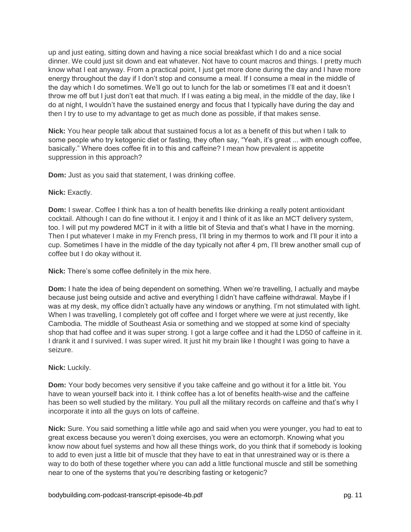up and just eating, sitting down and having a nice social breakfast which I do and a nice social dinner. We could just sit down and eat whatever. Not have to count macros and things. I pretty much know what I eat anyway. From a practical point, I just get more done during the day and I have more energy throughout the day if I don't stop and consume a meal. If I consume a meal in the middle of the day which I do sometimes. We'll go out to lunch for the lab or sometimes I'll eat and it doesn't throw me off but I just don't eat that much. If I was eating a big meal, in the middle of the day, like I do at night, I wouldn't have the sustained energy and focus that I typically have during the day and then I try to use to my advantage to get as much done as possible, if that makes sense.

**Nick:** You hear people talk about that sustained focus a lot as a benefit of this but when I talk to some people who try ketogenic diet or fasting, they often say, "Yeah, it's great ... with enough coffee, basically." Where does coffee fit in to this and caffeine? I mean how prevalent is appetite suppression in this approach?

**Dom:** Just as you said that statement, I was drinking coffee.

# **Nick:** Exactly.

**Dom:** I swear. Coffee I think has a ton of health benefits like drinking a really potent antioxidant cocktail. Although I can do fine without it. I enjoy it and I think of it as like an MCT delivery system, too. I will put my powdered MCT in it with a little bit of Stevia and that's what I have in the morning. Then I put whatever I make in my French press, I'll bring in my thermos to work and I'll pour it into a cup. Sometimes I have in the middle of the day typically not after 4 pm, I'll brew another small cup of coffee but I do okay without it.

**Nick:** There's some coffee definitely in the mix here.

**Dom:** I hate the idea of being dependent on something. When we're travelling, I actually and maybe because just being outside and active and everything I didn't have caffeine withdrawal. Maybe if I was at my desk, my office didn't actually have any windows or anything. I'm not stimulated with light. When I was travelling, I completely got off coffee and I forget where we were at just recently, like Cambodia. The middle of Southeast Asia or something and we stopped at some kind of specialty shop that had coffee and it was super strong. I got a large coffee and it had the LD50 of caffeine in it. I drank it and I survived. I was super wired. It just hit my brain like I thought I was going to have a seizure.

# **Nick:** Luckily.

**Dom:** Your body becomes very sensitive if you take caffeine and go without it for a little bit. You have to wean yourself back into it. I think coffee has a lot of benefits health-wise and the caffeine has been so well studied by the military. You pull all the military records on caffeine and that's why I incorporate it into all the guys on lots of caffeine.

**Nick:** Sure. You said something a little while ago and said when you were younger, you had to eat to great excess because you weren't doing exercises, you were an ectomorph. Knowing what you know now about fuel systems and how all these things work, do you think that if somebody is looking to add to even just a little bit of muscle that they have to eat in that unrestrained way or is there a way to do both of these together where you can add a little functional muscle and still be something near to one of the systems that you're describing fasting or ketogenic?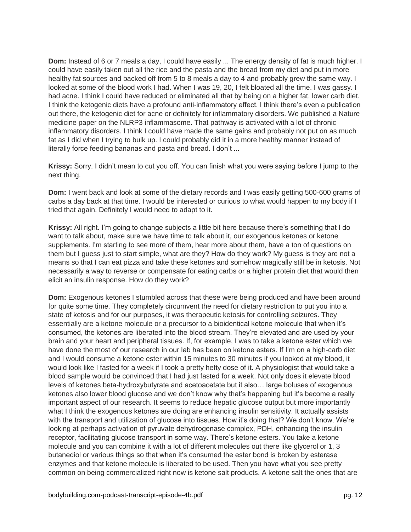**Dom:** Instead of 6 or 7 meals a day, I could have easily ... The energy density of fat is much higher. I could have easily taken out all the rice and the pasta and the bread from my diet and put in more healthy fat sources and backed off from 5 to 8 meals a day to 4 and probably grew the same way. I looked at some of the blood work I had. When I was 19, 20, I felt bloated all the time. I was gassy. I had acne. I think I could have reduced or eliminated all that by being on a higher fat, lower carb diet. I think the ketogenic diets have a profound anti-inflammatory effect. I think there's even a publication out there, the ketogenic diet for acne or definitely for inflammatory disorders. We published a Nature medicine paper on the NLRP3 inflammasome. That pathway is activated with a lot of chronic inflammatory disorders. I think I could have made the same gains and probably not put on as much fat as I did when I trying to bulk up. I could probably did it in a more healthy manner instead of literally force feeding bananas and pasta and bread. I don't ...

**Krissy:** Sorry. I didn't mean to cut you off. You can finish what you were saying before I jump to the next thing.

**Dom:** I went back and look at some of the dietary records and I was easily getting 500-600 grams of carbs a day back at that time. I would be interested or curious to what would happen to my body if I tried that again. Definitely I would need to adapt to it.

**Krissy:** All right. I'm going to change subjects a little bit here because there's something that I do want to talk about, make sure we have time to talk about it, our exogenous ketones or ketone supplements. I'm starting to see more of them, hear more about them, have a ton of questions on them but I guess just to start simple, what are they? How do they work? My guess is they are not a means so that I can eat pizza and take these ketones and somehow magically still be in ketosis. Not necessarily a way to reverse or compensate for eating carbs or a higher protein diet that would then elicit an insulin response. How do they work?

**Dom:** Exogenous ketones I stumbled across that these were being produced and have been around for quite some time. They completely circumvent the need for dietary restriction to put you into a state of ketosis and for our purposes, it was therapeutic ketosis for controlling seizures. They essentially are a ketone molecule or a precursor to a bioidentical ketone molecule that when it's consumed, the ketones are liberated into the blood stream. They're elevated and are used by your brain and your heart and peripheral tissues. If, for example, I was to take a ketone ester which we have done the most of our research in our lab has been on ketone esters. If I'm on a high-carb diet and I would consume a ketone ester within 15 minutes to 30 minutes if you looked at my blood, it would look like I fasted for a week if I took a pretty hefty dose of it. A physiologist that would take a blood sample would be convinced that I had just fasted for a week. Not only does it elevate blood levels of ketones beta-hydroxybutyrate and acetoacetate but it also… large boluses of exogenous ketones also lower blood glucose and we don't know why that's happening but it's become a really important aspect of our research. It seems to reduce hepatic glucose output but more importantly what I think the exogenous ketones are doing are enhancing insulin sensitivity. It actually assists with the transport and utilization of glucose into tissues. How it's doing that? We don't know. We're looking at perhaps activation of pyruvate dehydrogenase complex, PDH, enhancing the insulin receptor, facilitating glucose transport in some way. There's ketone esters. You take a ketone molecule and you can combine it with a lot of different molecules out there like glycerol or 1, 3 butanediol or various things so that when it's consumed the ester bond is broken by esterase enzymes and that ketone molecule is liberated to be used. Then you have what you see pretty common on being commercialized right now is ketone salt products. A ketone salt the ones that are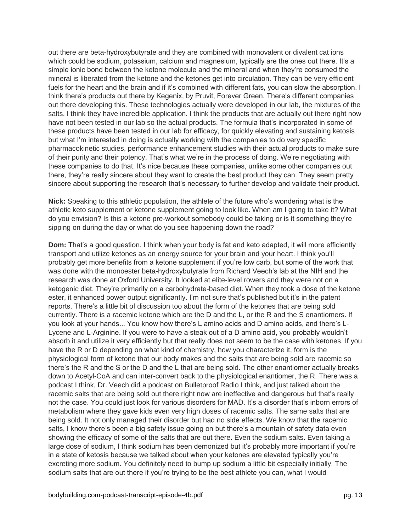out there are beta-hydroxybutyrate and they are combined with monovalent or divalent cat ions which could be sodium, potassium, calcium and magnesium, typically are the ones out there. It's a simple ionic bond between the ketone molecule and the mineral and when they're consumed the mineral is liberated from the ketone and the ketones get into circulation. They can be very efficient fuels for the heart and the brain and if it's combined with different fats, you can slow the absorption. I think there's products out there by Kegenix, by Pruvit, Forever Green. There's different companies out there developing this. These technologies actually were developed in our lab, the mixtures of the salts. I think they have incredible application. I think the products that are actually out there right now have not been tested in our lab so the actual products. The formula that's incorporated in some of these products have been tested in our lab for efficacy, for quickly elevating and sustaining ketosis but what I'm interested in doing is actually working with the companies to do very specific pharmacokinetic studies, performance enhancement studies with their actual products to make sure of their purity and their potency. That's what we're in the process of doing. We're negotiating with these companies to do that. It's nice because these companies, unlike some other companies out there, they're really sincere about they want to create the best product they can. They seem pretty sincere about supporting the research that's necessary to further develop and validate their product.

**Nick:** Speaking to this athletic population, the athlete of the future who's wondering what is the athletic keto supplement or ketone supplement going to look like. When am I going to take it? What do you envision? Is this a ketone pre-workout somebody could be taking or is it something they're sipping on during the day or what do you see happening down the road?

**Dom:** That's a good question. I think when your body is fat and keto adapted, it will more efficiently transport and utilize ketones as an energy source for your brain and your heart. I think you'll probably get more benefits from a ketone supplement if you're low carb, but some of the work that was done with the monoester beta-hydroxybutyrate from Richard Veech's lab at the NIH and the research was done at Oxford University. It looked at elite-level rowers and they were not on a ketogenic diet. They're primarily on a carbohydrate-based diet. When they took a dose of the ketone ester, it enhanced power output significantly. I'm not sure that's published but it's in the patent reports. There's a little bit of discussion too about the form of the ketones that are being sold currently. There is a racemic ketone which are the D and the L, or the R and the S enantiomers. If you look at your hands... You know how there's L amino acids and D amino acids, and there's L-Lycene and L-Arginine. If you were to have a steak out of a D amino acid, you probably wouldn't absorb it and utilize it very efficiently but that really does not seem to be the case with ketones. If you have the R or D depending on what kind of chemistry, how you characterize it, form is the physiological form of ketone that our body makes and the salts that are being sold are racemic so there's the R and the S or the D and the L that are being sold. The other enantiomer actually breaks down to Acetyl-CoA and can inter-convert back to the physiological enantiomer, the R. There was a podcast I think, Dr. Veech did a podcast on Bulletproof Radio I think, and just talked about the racemic salts that are being sold out there right now are ineffective and dangerous but that's really not the case. You could just look for various disorders for MAD. It's a disorder that's inborn errors of metabolism where they gave kids even very high doses of racemic salts. The same salts that are being sold. It not only managed their disorder but had no side effects. We know that the racemic salts, I know there's been a big safety issue going on but there's a mountain of safety data even showing the efficacy of some of the salts that are out there. Even the sodium salts. Even taking a large dose of sodium, I think sodium has been demonized but it's probably more important if you're in a state of ketosis because we talked about when your ketones are elevated typically you're excreting more sodium. You definitely need to bump up sodium a little bit especially initially. The sodium salts that are out there if you're trying to be the best athlete you can, what I would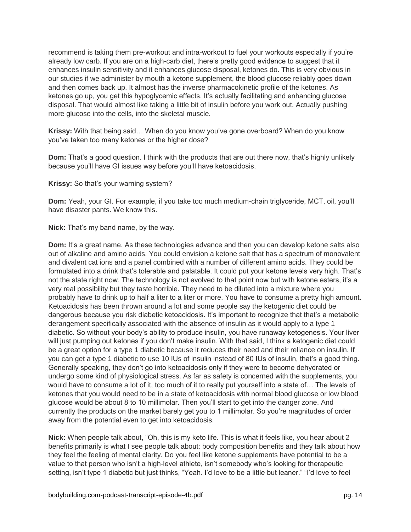recommend is taking them pre-workout and intra-workout to fuel your workouts especially if you're already low carb. If you are on a high-carb diet, there's pretty good evidence to suggest that it enhances insulin sensitivity and it enhances glucose disposal, ketones do. This is very obvious in our studies if we administer by mouth a ketone supplement, the blood glucose reliably goes down and then comes back up. It almost has the inverse pharmacokinetic profile of the ketones. As ketones go up, you get this hypoglycemic effects. It's actually facilitating and enhancing glucose disposal. That would almost like taking a little bit of insulin before you work out. Actually pushing more glucose into the cells, into the skeletal muscle.

**Krissy:** With that being said… When do you know you've gone overboard? When do you know you've taken too many ketones or the higher dose?

**Dom:** That's a good question. I think with the products that are out there now, that's highly unlikely because you'll have GI issues way before you'll have ketoacidosis.

**Krissy:** So that's your warning system?

**Dom:** Yeah, your GI. For example, if you take too much medium-chain triglyceride, MCT, oil, you'll have disaster pants. We know this.

**Nick:** That's my band name, by the way.

**Dom:** It's a great name. As these technologies advance and then you can develop ketone salts also out of alkaline and amino acids. You could envision a ketone salt that has a spectrum of monovalent and divalent cat ions and a panel combined with a number of different amino acids. They could be formulated into a drink that's tolerable and palatable. It could put your ketone levels very high. That's not the state right now. The technology is not evolved to that point now but with ketone esters, it's a very real possibility but they taste horrible. They need to be diluted into a mixture where you probably have to drink up to half a liter to a liter or more. You have to consume a pretty high amount. Ketoacidosis has been thrown around a lot and some people say the ketogenic diet could be dangerous because you risk diabetic ketoacidosis. It's important to recognize that that's a metabolic derangement specifically associated with the absence of insulin as it would apply to a type 1 diabetic. So without your body's ability to produce insulin, you have runaway ketogenesis. Your liver will just pumping out ketones if you don't make insulin. With that said, I think a ketogenic diet could be a great option for a type 1 diabetic because it reduces their need and their reliance on insulin. If you can get a type 1 diabetic to use 10 IUs of insulin instead of 80 IUs of insulin, that's a good thing. Generally speaking, they don't go into ketoacidosis only if they were to become dehydrated or undergo some kind of physiological stress. As far as safety is concerned with the supplements, you would have to consume a lot of it, too much of it to really put yourself into a state of… The levels of ketones that you would need to be in a state of ketoacidosis with normal blood glucose or low blood glucose would be about 8 to 10 millimolar. Then you'll start to get into the danger zone. And currently the products on the market barely get you to 1 millimolar. So you're magnitudes of order away from the potential even to get into ketoacidosis.

**Nick:** When people talk about, "Oh, this is my keto life. This is what it feels like, you hear about 2 benefits primarily is what I see people talk about: body composition benefits and they talk about how they feel the feeling of mental clarity. Do you feel like ketone supplements have potential to be a value to that person who isn't a high-level athlete, isn't somebody who's looking for therapeutic setting, isn't type 1 diabetic but just thinks, "Yeah. I'd love to be a little but leaner." "I'd love to feel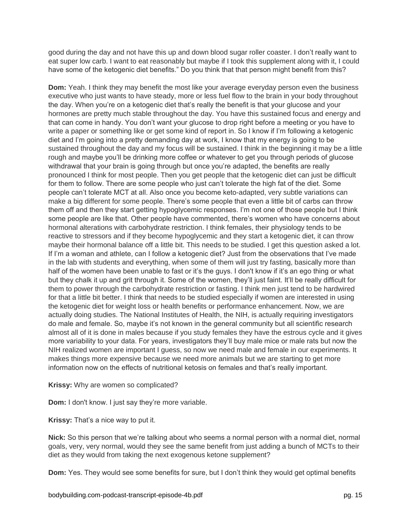good during the day and not have this up and down blood sugar roller coaster. I don't really want to eat super low carb. I want to eat reasonably but maybe if I took this supplement along with it, I could have some of the ketogenic diet benefits." Do you think that that person might benefit from this?

**Dom:** Yeah. I think they may benefit the most like your average everyday person even the business executive who just wants to have steady, more or less fuel flow to the brain in your body throughout the day. When you're on a ketogenic diet that's really the benefit is that your glucose and your hormones are pretty much stable throughout the day. You have this sustained focus and energy and that can come in handy. You don't want your glucose to drop right before a meeting or you have to write a paper or something like or get some kind of report in. So I know if I'm following a ketogenic diet and I'm going into a pretty demanding day at work, I know that my energy is going to be sustained throughout the day and my focus will be sustained. I think in the beginning it may be a little rough and maybe you'll be drinking more coffee or whatever to get you through periods of glucose withdrawal that your brain is going through but once you're adapted, the benefits are really pronounced I think for most people. Then you get people that the ketogenic diet can just be difficult for them to follow. There are some people who just can't tolerate the high fat of the diet. Some people can't tolerate MCT at all. Also once you become keto-adapted, very subtle variations can make a big different for some people. There's some people that even a little bit of carbs can throw them off and then they start getting hypoglycemic responses. I'm not one of those people but I think some people are like that. Other people have commented, there's women who have concerns about hormonal alterations with carbohydrate restriction. I think females, their physiology tends to be reactive to stressors and if they become hypoglycemic and they start a ketogenic diet, it can throw maybe their hormonal balance off a little bit. This needs to be studied. I get this question asked a lot. If I'm a woman and athlete, can I follow a ketogenic diet? Just from the observations that I've made in the lab with students and everything, when some of them will just try fasting, basically more than half of the women have been unable to fast or it's the guys. I don't know if it's an ego thing or what but they chalk it up and grit through it. Some of the women, they'll just faint. It'll be really difficult for them to power through the carbohydrate restriction or fasting. I think men just tend to be hardwired for that a little bit better. I think that needs to be studied especially if women are interested in using the ketogenic diet for weight loss or health benefits or performance enhancement. Now, we are actually doing studies. The National Institutes of Health, the NIH, is actually requiring investigators do male and female. So, maybe it's not known in the general community but all scientific research almost all of it is done in males because if you study females they have the estrous cycle and it gives more variability to your data. For years, investigators they'll buy male mice or male rats but now the NIH realized women are important I guess, so now we need male and female in our experiments. It makes things more expensive because we need more animals but we are starting to get more information now on the effects of nutritional ketosis on females and that's really important.

**Krissy:** Why are women so complicated?

**Dom:** I don't know. I just say they're more variable.

**Krissy:** That's a nice way to put it.

**Nick:** So this person that we're talking about who seems a normal person with a normal diet, normal goals, very, very normal, would they see the same benefit from just adding a bunch of MCTs to their diet as they would from taking the next exogenous ketone supplement?

**Dom:** Yes. They would see some benefits for sure, but I don't think they would get optimal benefits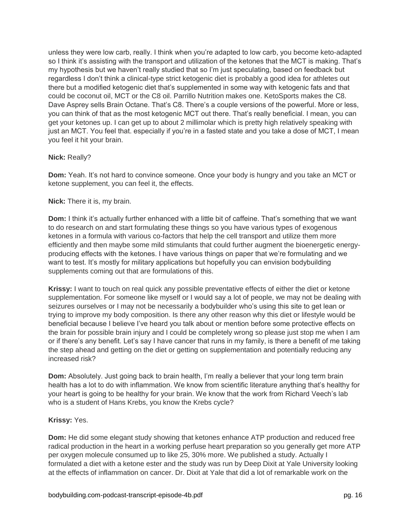unless they were low carb, really. I think when you're adapted to low carb, you become keto-adapted so I think it's assisting with the transport and utilization of the ketones that the MCT is making. That's my hypothesis but we haven't really studied that so I'm just speculating, based on feedback but regardless I don't think a clinical-type strict ketogenic diet is probably a good idea for athletes out there but a modified ketogenic diet that's supplemented in some way with ketogenic fats and that could be coconut oil, MCT or the C8 oil. Parrillo Nutrition makes one. KetoSports makes the C8. Dave Asprey sells Brain Octane. That's C8. There's a couple versions of the powerful. More or less, you can think of that as the most ketogenic MCT out there. That's really beneficial. I mean, you can get your ketones up. I can get up to about 2 millimolar which is pretty high relatively speaking with just an MCT. You feel that. especially if you're in a fasted state and you take a dose of MCT, I mean you feel it hit your brain.

# **Nick:** Really?

**Dom:** Yeah. It's not hard to convince someone. Once your body is hungry and you take an MCT or ketone supplement, you can feel it, the effects.

# **Nick:** There it is, my brain.

**Dom:** I think it's actually further enhanced with a little bit of caffeine. That's something that we want to do research on and start formulating these things so you have various types of exogenous ketones in a formula with various co-factors that help the cell transport and utilize them more efficiently and then maybe some mild stimulants that could further augment the bioenergetic energyproducing effects with the ketones. I have various things on paper that we're formulating and we want to test. It's mostly for military applications but hopefully you can envision bodybuilding supplements coming out that are formulations of this.

**Krissy:** I want to touch on real quick any possible preventative effects of either the diet or ketone supplementation. For someone like myself or I would say a lot of people, we may not be dealing with seizures ourselves or I may not be necessarily a bodybuilder who's using this site to get lean or trying to improve my body composition. Is there any other reason why this diet or lifestyle would be beneficial because I believe I've heard you talk about or mention before some protective effects on the brain for possible brain injury and I could be completely wrong so please just stop me when I am or if there's any benefit. Let's say I have cancer that runs in my family, is there a benefit of me taking the step ahead and getting on the diet or getting on supplementation and potentially reducing any increased risk?

**Dom:** Absolutely. Just going back to brain health, I'm really a believer that your long term brain health has a lot to do with inflammation. We know from scientific literature anything that's healthy for your heart is going to be healthy for your brain. We know that the work from Richard Veech's lab who is a student of Hans Krebs, you know the Krebs cycle?

#### **Krissy:** Yes.

**Dom:** He did some elegant study showing that ketones enhance ATP production and reduced free radical production in the heart in a working perfuse heart preparation so you generally get more ATP per oxygen molecule consumed up to like 25, 30% more. We published a study. Actually I formulated a diet with a ketone ester and the study was run by Deep Dixit at Yale University looking at the effects of inflammation on cancer. Dr. Dixit at Yale that did a lot of remarkable work on the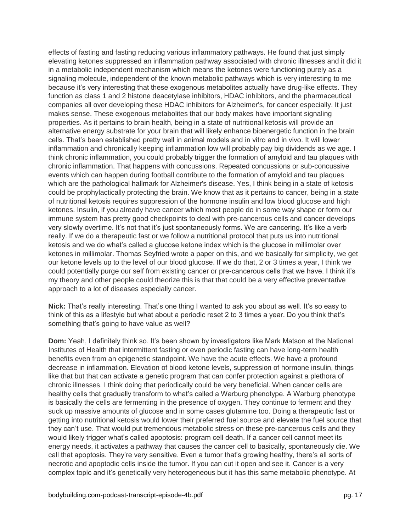effects of fasting and fasting reducing various inflammatory pathways. He found that just simply elevating ketones suppressed an inflammation pathway associated with chronic illnesses and it did it in a metabolic independent mechanism which means the ketones were functioning purely as a signaling molecule, independent of the known metabolic pathways which is very interesting to me because it's very interesting that these exogenous metabolites actually have drug-like effects. They function as class 1 and 2 histone deacetylase inhibitors, HDAC inhibitors, and the pharmaceutical companies all over developing these HDAC inhibitors for Alzheimer's, for cancer especially. It just makes sense. These exogenous metabolites that our body makes have important signaling properties. As it pertains to brain health, being in a state of nutritional ketosis will provide an alternative energy substrate for your brain that will likely enhance bioenergetic function in the brain cells. That's been established pretty well in animal models and in vitro and in vivo. It will lower inflammation and chronically keeping inflammation low will probably pay big dividends as we age. I think chronic inflammation, you could probably trigger the formation of amyloid and tau plaques with chronic inflammation. That happens with concussions. Repeated concussions or sub-concussive events which can happen during football contribute to the formation of amyloid and tau plaques which are the pathological hallmark for Alzheimer's disease. Yes, I think being in a state of ketosis could be prophylactically protecting the brain. We know that as it pertains to cancer, being in a state of nutritional ketosis requires suppression of the hormone insulin and low blood glucose and high ketones. Insulin, if you already have cancer which most people do in some way shape or form our immune system has pretty good checkpoints to deal with pre-cancerous cells and cancer develops very slowly overtime. It's not that it's just spontaneously forms. We are cancering. It's like a verb really. If we do a therapeutic fast or we follow a nutritional protocol that puts us into nutritional ketosis and we do what's called a glucose ketone index which is the glucose in millimolar over ketones in millimolar. Thomas Seyfried wrote a paper on this, and we basically for simplicity, we get our ketone levels up to the level of our blood glucose. If we do that, 2 or 3 times a year, I think we could potentially purge our self from existing cancer or pre-cancerous cells that we have. I think it's my theory and other people could theorize this is that that could be a very effective preventative approach to a lot of diseases especially cancer.

**Nick:** That's really interesting. That's one thing I wanted to ask you about as well. It's so easy to think of this as a lifestyle but what about a periodic reset 2 to 3 times a year. Do you think that's something that's going to have value as well?

**Dom:** Yeah, I definitely think so. It's been shown by investigators like Mark Matson at the National Institutes of Health that intermittent fasting or even periodic fasting can have long-term health benefits even from an epigenetic standpoint. We have the acute effects. We have a profound decrease in inflammation. Elevation of blood ketone levels, suppression of hormone insulin, things like that but that can activate a genetic program that can confer protection against a plethora of chronic illnesses. I think doing that periodically could be very beneficial. When cancer cells are healthy cells that gradually transform to what's called a Warburg phenotype. A Warburg phenotype is basically the cells are fermenting in the presence of oxygen. They continue to ferment and they suck up massive amounts of glucose and in some cases glutamine too. Doing a therapeutic fast or getting into nutritional ketosis would lower their preferred fuel source and elevate the fuel source that they can't use. That would put tremendous metabolic stress on these pre-cancerous cells and they would likely trigger what's called apoptosis: program cell death. If a cancer cell cannot meet its energy needs, it activates a pathway that causes the cancer cell to basically, spontaneously die. We call that apoptosis. They're very sensitive. Even a tumor that's growing healthy, there's all sorts of necrotic and apoptodic cells inside the tumor. If you can cut it open and see it. Cancer is a very complex topic and it's genetically very heterogeneous but it has this same metabolic phenotype. At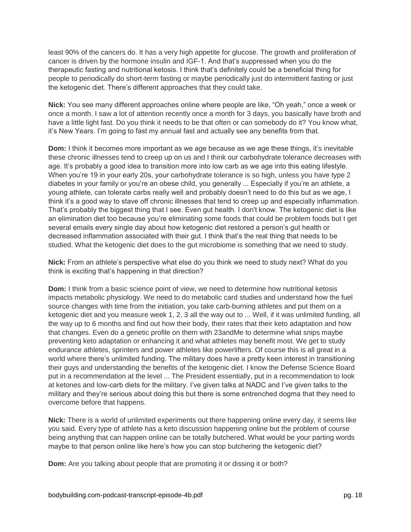least 90% of the cancers do. It has a very high appetite for glucose. The growth and proliferation of cancer is driven by the hormone insulin and IGF-1. And that's suppressed when you do the therapeutic fasting and nutritional ketosis. I think that's definitely could be a beneficial thing for people to periodically do short-term fasting or maybe periodically just do intermittent fasting or just the ketogenic diet. There's different approaches that they could take.

**Nick:** You see many different approaches online where people are like, "Oh yeah," once a week or once a month. I saw a lot of attention recently once a month for 3 days, you basically have broth and have a little light fast. Do you think it needs to be that often or can somebody do it? You know what, it's New Years. I'm going to fast my annual fast and actually see any benefits from that.

**Dom:** I think it becomes more important as we age because as we age these things, it's inevitable these chronic illnesses tend to creep up on us and I think our carbohydrate tolerance decreases with age. It's probably a good idea to transition more into low carb as we age into this eating lifestyle. When you're 19 in your early 20s, your carbohydrate tolerance is so high, unless you have type 2 diabetes in your family or you're an obese child, you generally ... Especially if you're an athlete, a young athlete, can tolerate carbs really well and probably doesn't need to do this but as we age, I think it's a good way to stave off chronic illnesses that tend to creep up and especially inflammation. That's probably the biggest thing that I see. Even gut health. I don't know. The ketogenic diet is like an elimination diet too because you're eliminating some foods that could be problem foods but I get several emails every single day about how ketogenic diet restored a person's gut health or decreased inflammation associated with their gut. I think that's the real thing that needs to be studied. What the ketogenic diet does to the gut microbiome is something that we need to study.

**Nick:** From an athlete's perspective what else do you think we need to study next? What do you think is exciting that's happening in that direction?

**Dom:** I think from a basic science point of view, we need to determine how nutritional ketosis impacts metabolic physiology. We need to do metabolic card studies and understand how the fuel source changes with time from the initiation, you take carb-burning athletes and put them on a ketogenic diet and you measure week 1, 2, 3 all the way out to ... Well, if it was unlimited funding, all the way up to 6 months and find out how their body, their rates that their keto adaptation and how that changes. Even do a genetic profile on them with 23andMe to determine what snips maybe preventing keto adaptation or enhancing it and what athletes may benefit most. We get to study endurance athletes, sprinters and power athletes like powerlifters. Of course this is all great in a world where there's unlimited funding. The military does have a pretty keen interest in transitioning their guys and understanding the benefits of the ketogenic diet. I know the Defense Science Board put in a recommendation at the level ... The President essentially, put in a recommendation to look at ketones and low-carb diets for the military. I've given talks at NADC and I've given talks to the military and they're serious about doing this but there is some entrenched dogma that they need to overcome before that happens.

**Nick:** There is a world of unlimited experiments out there happening online every day, it seems like you said. Every type of athlete has a keto discussion happening online but the problem of course being anything that can happen online can be totally butchered. What would be your parting words maybe to that person online like here's how you can stop butchering the ketogenic diet?

**Dom:** Are you talking about people that are promoting it or dissing it or both?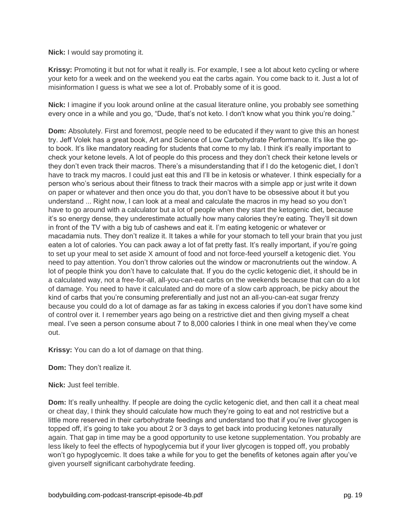**Nick:** I would say promoting it.

**Krissy:** Promoting it but not for what it really is. For example, I see a lot about keto cycling or where your keto for a week and on the weekend you eat the carbs again. You come back to it. Just a lot of misinformation I guess is what we see a lot of. Probably some of it is good.

**Nick:** I imagine if you look around online at the casual literature online, you probably see something every once in a while and you go, "Dude, that's not keto. I don't know what you think you're doing."

**Dom:** Absolutely. First and foremost, people need to be educated if they want to give this an honest try. Jeff Volek has a great book, Art and Science of Low Carbohydrate Performance. It's like the goto book. It's like mandatory reading for students that come to my lab. I think it's really important to check your ketone levels. A lot of people do this process and they don't check their ketone levels or they don't even track their macros. There's a misunderstanding that if I do the ketogenic diet, I don't have to track my macros. I could just eat this and I'll be in ketosis or whatever. I think especially for a person who's serious about their fitness to track their macros with a simple app or just write it down on paper or whatever and then once you do that, you don't have to be obsessive about it but you understand ... Right now, I can look at a meal and calculate the macros in my head so you don't have to go around with a calculator but a lot of people when they start the ketogenic diet, because it's so energy dense, they underestimate actually how many calories they're eating. They'll sit down in front of the TV with a big tub of cashews and eat it. I'm eating ketogenic or whatever or macadamia nuts. They don't realize it. It takes a while for your stomach to tell your brain that you just eaten a lot of calories. You can pack away a lot of fat pretty fast. It's really important, if you're going to set up your meal to set aside X amount of food and not force-feed yourself a ketogenic diet. You need to pay attention. You don't throw calories out the window or macronutrients out the window. A lot of people think you don't have to calculate that. If you do the cyclic ketogenic diet, it should be in a calculated way, not a free-for-all, all-you-can-eat carbs on the weekends because that can do a lot of damage. You need to have it calculated and do more of a slow carb approach, be picky about the kind of carbs that you're consuming preferentially and just not an all-you-can-eat sugar frenzy because you could do a lot of damage as far as taking in excess calories if you don't have some kind of control over it. I remember years ago being on a restrictive diet and then giving myself a cheat meal. I've seen a person consume about 7 to 8,000 calories I think in one meal when they've come out.

**Krissy:** You can do a lot of damage on that thing.

**Dom:** They don't realize it.

**Nick:** Just feel terrible.

**Dom:** It's really unhealthy. If people are doing the cyclic ketogenic diet, and then call it a cheat meal or cheat day, I think they should calculate how much they're going to eat and not restrictive but a little more reserved in their carbohydrate feedings and understand too that if you're liver glycogen is topped off, it's going to take you about 2 or 3 days to get back into producing ketones naturally again. That gap in time may be a good opportunity to use ketone supplementation. You probably are less likely to feel the effects of hypoglycemia but if your liver glycogen is topped off, you probably won't go hypoglycemic. It does take a while for you to get the benefits of ketones again after you've given yourself significant carbohydrate feeding.